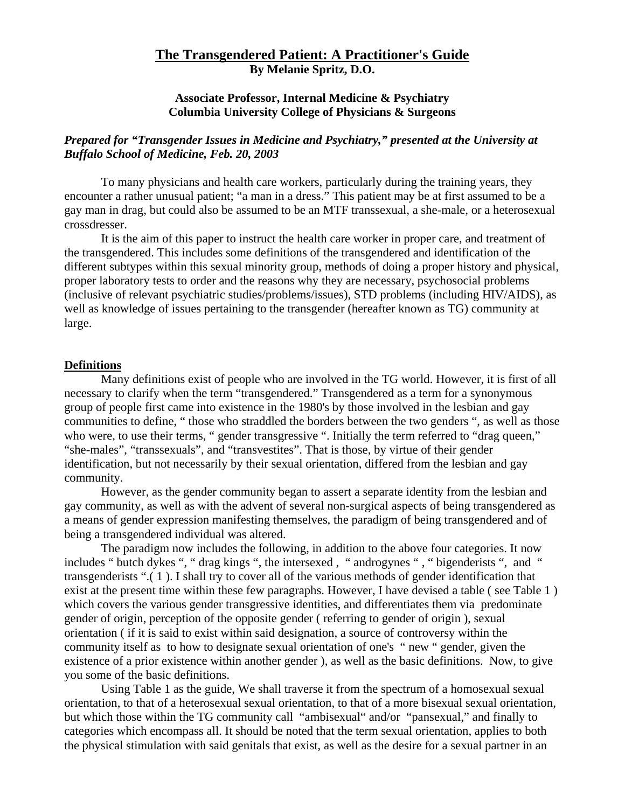# **The Transgendered Patient: A Practitioner's Guide By Melanie Spritz, D.O.**

# **Associate Professor, Internal Medicine & Psychiatry Columbia University College of Physicians & Surgeons**

# *Prepared for "Transgender Issues in Medicine and Psychiatry," presented at the University at Buffalo School of Medicine, Feb. 20, 2003*

To many physicians and health care workers, particularly during the training years, they encounter a rather unusual patient; "a man in a dress." This patient may be at first assumed to be a gay man in drag, but could also be assumed to be an MTF transsexual, a she-male, or a heterosexual crossdresser.

It is the aim of this paper to instruct the health care worker in proper care, and treatment of the transgendered. This includes some definitions of the transgendered and identification of the different subtypes within this sexual minority group, methods of doing a proper history and physical, proper laboratory tests to order and the reasons why they are necessary, psychosocial problems (inclusive of relevant psychiatric studies/problems/issues), STD problems (including HIV/AIDS), as well as knowledge of issues pertaining to the transgender (hereafter known as TG) community at large.

### **Definitions**

Many definitions exist of people who are involved in the TG world. However, it is first of all necessary to clarify when the term "transgendered." Transgendered as a term for a synonymous group of people first came into existence in the 1980's by those involved in the lesbian and gay communities to define, " those who straddled the borders between the two genders ", as well as those who were, to use their terms, " gender transgressive ". Initially the term referred to "drag queen," "she-males", "transsexuals", and "transvestites". That is those, by virtue of their gender identification, but not necessarily by their sexual orientation, differed from the lesbian and gay community.

However, as the gender community began to assert a separate identity from the lesbian and gay community, as well as with the advent of several non-surgical aspects of being transgendered as a means of gender expression manifesting themselves, the paradigm of being transgendered and of being a transgendered individual was altered.

The paradigm now includes the following, in addition to the above four categories. It now includes " butch dykes ", " drag kings ", the intersexed, " androgynes ", " bigenderists ", and " transgenderists ".( 1 ). I shall try to cover all of the various methods of gender identification that exist at the present time within these few paragraphs. However, I have devised a table (see Table 1) which covers the various gender transgressive identities, and differentiates them via predominate gender of origin, perception of the opposite gender ( referring to gender of origin ), sexual orientation ( if it is said to exist within said designation, a source of controversy within the community itself as to how to designate sexual orientation of one's " new " gender, given the existence of a prior existence within another gender ), as well as the basic definitions. Now, to give you some of the basic definitions.

 Using Table 1 as the guide, We shall traverse it from the spectrum of a homosexual sexual orientation, to that of a heterosexual sexual orientation, to that of a more bisexual sexual orientation, but which those within the TG community call "ambisexual" and/or "pansexual," and finally to categories which encompass all. It should be noted that the term sexual orientation, applies to both the physical stimulation with said genitals that exist, as well as the desire for a sexual partner in an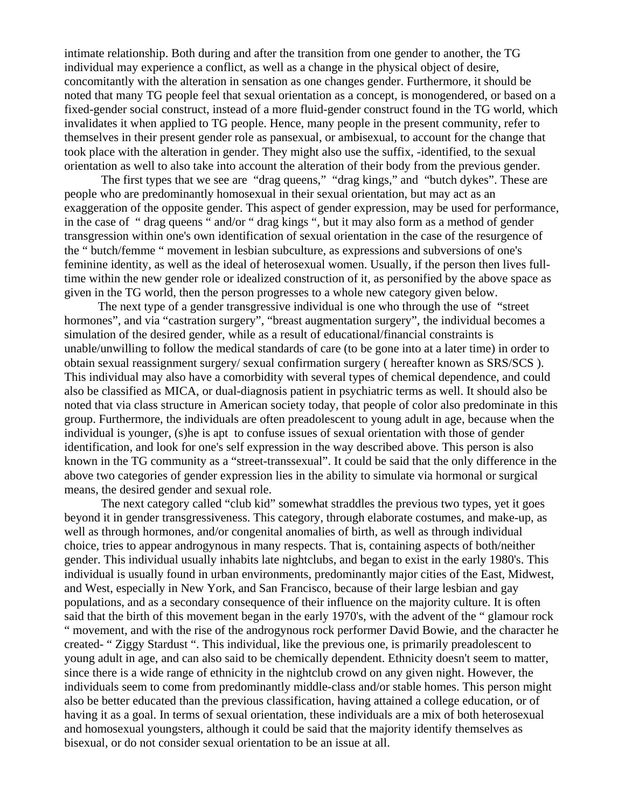intimate relationship. Both during and after the transition from one gender to another, the TG individual may experience a conflict, as well as a change in the physical object of desire, concomitantly with the alteration in sensation as one changes gender. Furthermore, it should be noted that many TG people feel that sexual orientation as a concept, is monogendered, or based on a fixed-gender social construct, instead of a more fluid-gender construct found in the TG world, which invalidates it when applied to TG people. Hence, many people in the present community, refer to themselves in their present gender role as pansexual, or ambisexual, to account for the change that took place with the alteration in gender. They might also use the suffix, -identified, to the sexual orientation as well to also take into account the alteration of their body from the previous gender.

The first types that we see are "drag queens," "drag kings," and "butch dykes". These are people who are predominantly homosexual in their sexual orientation, but may act as an exaggeration of the opposite gender. This aspect of gender expression, may be used for performance, in the case of " drag queens " and/or " drag kings ", but it may also form as a method of gender transgression within one's own identification of sexual orientation in the case of the resurgence of the " butch/femme " movement in lesbian subculture, as expressions and subversions of one's feminine identity, as well as the ideal of heterosexual women. Usually, if the person then lives fulltime within the new gender role or idealized construction of it, as personified by the above space as given in the TG world, then the person progresses to a whole new category given below.

 The next type of a gender transgressive individual is one who through the use of "street hormones", and via "castration surgery", "breast augmentation surgery", the individual becomes a simulation of the desired gender, while as a result of educational/financial constraints is unable/unwilling to follow the medical standards of care (to be gone into at a later time) in order to obtain sexual reassignment surgery/ sexual confirmation surgery ( hereafter known as SRS/SCS ). This individual may also have a comorbidity with several types of chemical dependence, and could also be classified as MICA, or dual-diagnosis patient in psychiatric terms as well. It should also be noted that via class structure in American society today, that people of color also predominate in this group. Furthermore, the individuals are often preadolescent to young adult in age, because when the individual is younger, (s)he is apt to confuse issues of sexual orientation with those of gender identification, and look for one's self expression in the way described above. This person is also known in the TG community as a "street-transsexual". It could be said that the only difference in the above two categories of gender expression lies in the ability to simulate via hormonal or surgical means, the desired gender and sexual role.

The next category called "club kid" somewhat straddles the previous two types, yet it goes beyond it in gender transgressiveness. This category, through elaborate costumes, and make-up, as well as through hormones, and/or congenital anomalies of birth, as well as through individual choice, tries to appear androgynous in many respects. That is, containing aspects of both/neither gender. This individual usually inhabits late nightclubs, and began to exist in the early 1980's. This individual is usually found in urban environments, predominantly major cities of the East, Midwest, and West, especially in New York, and San Francisco, because of their large lesbian and gay populations, and as a secondary consequence of their influence on the majority culture. It is often said that the birth of this movement began in the early 1970's, with the advent of the " glamour rock " movement, and with the rise of the androgynous rock performer David Bowie, and the character he created- " Ziggy Stardust ". This individual, like the previous one, is primarily preadolescent to young adult in age, and can also said to be chemically dependent. Ethnicity doesn't seem to matter, since there is a wide range of ethnicity in the nightclub crowd on any given night. However, the individuals seem to come from predominantly middle-class and/or stable homes. This person might also be better educated than the previous classification, having attained a college education, or of having it as a goal. In terms of sexual orientation, these individuals are a mix of both heterosexual and homosexual youngsters, although it could be said that the majority identify themselves as bisexual, or do not consider sexual orientation to be an issue at all.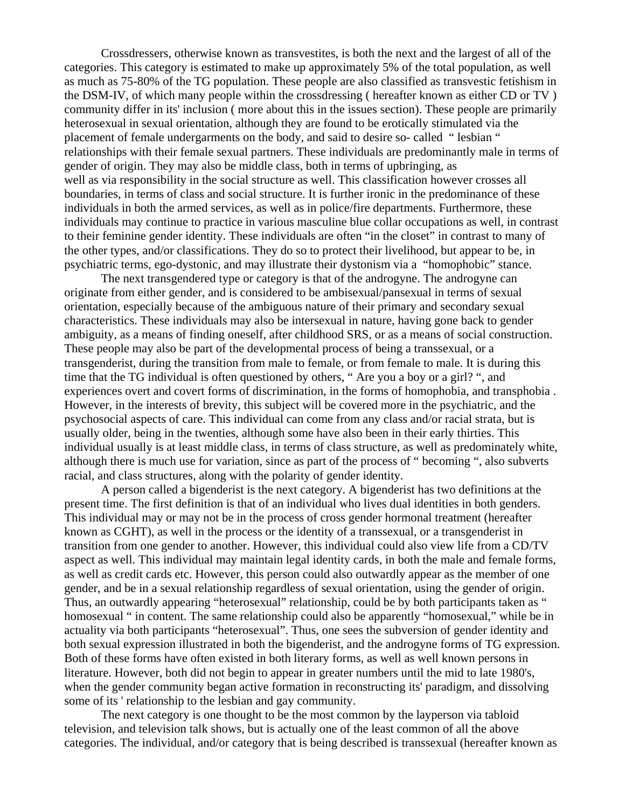Crossdressers, otherwise known as transvestites, is both the next and the largest of all of the categories. This category is estimated to make up approximately 5% of the total population, as well as much as 75-80% of the TG population. These people are also classified as transvestic fetishism in the DSM-IV, of which many people within the crossdressing ( hereafter known as either CD or TV ) community differ in its' inclusion ( more about this in the issues section). These people are primarily heterosexual in sexual orientation, although they are found to be erotically stimulated via the placement of female undergarments on the body, and said to desire so- called " lesbian " relationships with their female sexual partners. These individuals are predominantly male in terms of gender of origin. They may also be middle class, both in terms of upbringing, as well as via responsibility in the social structure as well. This classification however crosses all boundaries, in terms of class and social structure. It is further ironic in the predominance of these individuals in both the armed services, as well as in police/fire departments. Furthermore, these individuals may continue to practice in various masculine blue collar occupations as well, in contrast to their feminine gender identity. These individuals are often "in the closet" in contrast to many of the other types, and/or classifications. They do so to protect their livelihood, but appear to be, in psychiatric terms, ego-dystonic, and may illustrate their dystonism via a "homophobic" stance.

The next transgendered type or category is that of the androgyne. The androgyne can originate from either gender, and is considered to be ambisexual/pansexual in terms of sexual orientation, especially because of the ambiguous nature of their primary and secondary sexual characteristics. These individuals may also be intersexual in nature, having gone back to gender ambiguity, as a means of finding oneself, after childhood SRS, or as a means of social construction. These people may also be part of the developmental process of being a transsexual, or a transgenderist, during the transition from male to female, or from female to male. It is during this time that the TG individual is often questioned by others, " Are you a boy or a girl? ", and experiences overt and covert forms of discrimination, in the forms of homophobia, and transphobia . However, in the interests of brevity, this subject will be covered more in the psychiatric, and the psychosocial aspects of care. This individual can come from any class and/or racial strata, but is usually older, being in the twenties, although some have also been in their early thirties. This individual usually is at least middle class, in terms of class structure, as well as predominately white, although there is much use for variation, since as part of the process of " becoming ", also subverts racial, and class structures, along with the polarity of gender identity.

A person called a bigenderist is the next category. A bigenderist has two definitions at the present time. The first definition is that of an individual who lives dual identities in both genders. This individual may or may not be in the process of cross gender hormonal treatment (hereafter known as CGHT), as well in the process or the identity of a transsexual, or a transgenderist in transition from one gender to another. However, this individual could also view life from a CD/TV aspect as well. This individual may maintain legal identity cards, in both the male and female forms, as well as credit cards etc. However, this person could also outwardly appear as the member of one gender, and be in a sexual relationship regardless of sexual orientation, using the gender of origin. Thus, an outwardly appearing "heterosexual" relationship, could be by both participants taken as " homosexual " in content. The same relationship could also be apparently "homosexual," while be in actuality via both participants "heterosexual". Thus, one sees the subversion of gender identity and both sexual expression illustrated in both the bigenderist, and the androgyne forms of TG expression. Both of these forms have often existed in both literary forms, as well as well known persons in literature. However, both did not begin to appear in greater numbers until the mid to late 1980's, when the gender community began active formation in reconstructing its' paradigm, and dissolving some of its ' relationship to the lesbian and gay community.

 The next category is one thought to be the most common by the layperson via tabloid television, and television talk shows, but is actually one of the least common of all the above categories. The individual, and/or category that is being described is transsexual (hereafter known as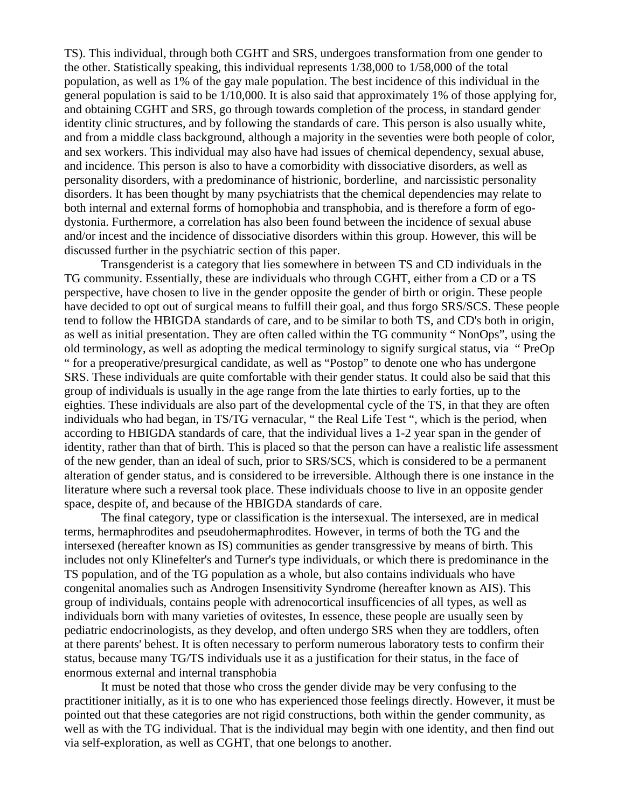TS). This individual, through both CGHT and SRS, undergoes transformation from one gender to the other. Statistically speaking, this individual represents 1/38,000 to 1/58,000 of the total population, as well as 1% of the gay male population. The best incidence of this individual in the general population is said to be 1/10,000. It is also said that approximately 1% of those applying for, and obtaining CGHT and SRS, go through towards completion of the process, in standard gender identity clinic structures, and by following the standards of care. This person is also usually white, and from a middle class background, although a majority in the seventies were both people of color, and sex workers. This individual may also have had issues of chemical dependency, sexual abuse, and incidence. This person is also to have a comorbidity with dissociative disorders, as well as personality disorders, with a predominance of histrionic, borderline, and narcissistic personality disorders. It has been thought by many psychiatrists that the chemical dependencies may relate to both internal and external forms of homophobia and transphobia, and is therefore a form of egodystonia. Furthermore, a correlation has also been found between the incidence of sexual abuse and/or incest and the incidence of dissociative disorders within this group. However, this will be discussed further in the psychiatric section of this paper.

Transgenderist is a category that lies somewhere in between TS and CD individuals in the TG community. Essentially, these are individuals who through CGHT, either from a CD or a TS perspective, have chosen to live in the gender opposite the gender of birth or origin. These people have decided to opt out of surgical means to fulfill their goal, and thus forgo SRS/SCS. These people tend to follow the HBIGDA standards of care, and to be similar to both TS, and CD's both in origin, as well as initial presentation. They are often called within the TG community " NonOps", using the old terminology, as well as adopting the medical terminology to signify surgical status, via " PreOp " for a preoperative/presurgical candidate, as well as "Postop" to denote one who has undergone SRS. These individuals are quite comfortable with their gender status. It could also be said that this group of individuals is usually in the age range from the late thirties to early forties, up to the eighties. These individuals are also part of the developmental cycle of the TS, in that they are often individuals who had began, in TS/TG vernacular, " the Real Life Test ", which is the period, when according to HBIGDA standards of care, that the individual lives a 1-2 year span in the gender of identity, rather than that of birth. This is placed so that the person can have a realistic life assessment of the new gender, than an ideal of such, prior to SRS/SCS, which is considered to be a permanent alteration of gender status, and is considered to be irreversible. Although there is one instance in the literature where such a reversal took place. These individuals choose to live in an opposite gender space, despite of, and because of the HBIGDA standards of care.

The final category, type or classification is the intersexual. The intersexed, are in medical terms, hermaphrodites and pseudohermaphrodites. However, in terms of both the TG and the intersexed (hereafter known as IS) communities as gender transgressive by means of birth. This includes not only Klinefelter's and Turner's type individuals, or which there is predominance in the TS population, and of the TG population as a whole, but also contains individuals who have congenital anomalies such as Androgen Insensitivity Syndrome (hereafter known as AIS). This group of individuals, contains people with adrenocortical insufficencies of all types, as well as individuals born with many varieties of ovitestes, In essence, these people are usually seen by pediatric endocrinologists, as they develop, and often undergo SRS when they are toddlers, often at there parents' behest. It is often necessary to perform numerous laboratory tests to confirm their status, because many TG/TS individuals use it as a justification for their status, in the face of enormous external and internal transphobia

It must be noted that those who cross the gender divide may be very confusing to the practitioner initially, as it is to one who has experienced those feelings directly. However, it must be pointed out that these categories are not rigid constructions, both within the gender community, as well as with the TG individual. That is the individual may begin with one identity, and then find out via self-exploration, as well as CGHT, that one belongs to another.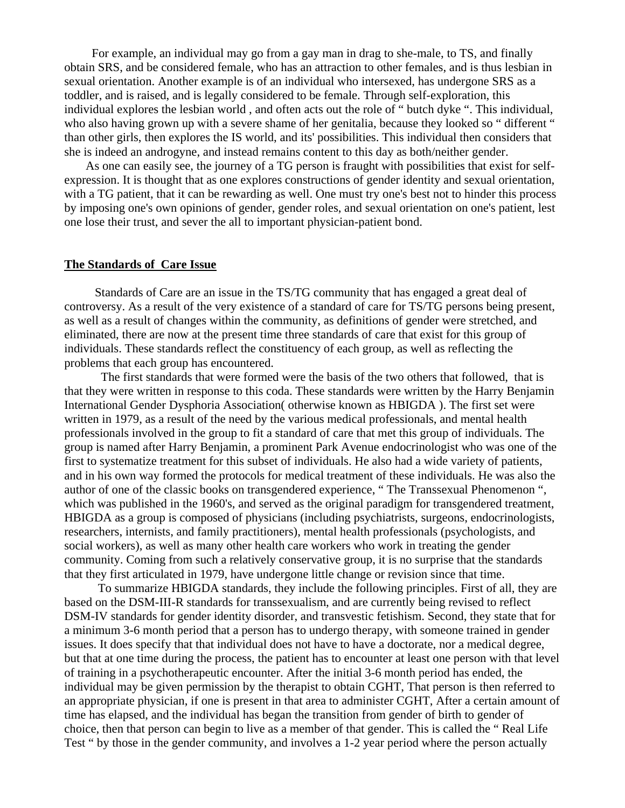For example, an individual may go from a gay man in drag to she-male, to TS, and finally obtain SRS, and be considered female, who has an attraction to other females, and is thus lesbian in sexual orientation. Another example is of an individual who intersexed, has undergone SRS as a toddler, and is raised, and is legally considered to be female. Through self-exploration, this individual explores the lesbian world , and often acts out the role of " butch dyke ". This individual, who also having grown up with a severe shame of her genitalia, because they looked so " different " than other girls, then explores the IS world, and its' possibilities. This individual then considers that she is indeed an androgyne, and instead remains content to this day as both/neither gender.

 As one can easily see, the journey of a TG person is fraught with possibilities that exist for selfexpression. It is thought that as one explores constructions of gender identity and sexual orientation, with a TG patient, that it can be rewarding as well. One must try one's best not to hinder this process by imposing one's own opinions of gender, gender roles, and sexual orientation on one's patient, lest one lose their trust, and sever the all to important physician-patient bond.

### **The Standards of Care Issue**

 Standards of Care are an issue in the TS/TG community that has engaged a great deal of controversy. As a result of the very existence of a standard of care for TS/TG persons being present, as well as a result of changes within the community, as definitions of gender were stretched, and eliminated, there are now at the present time three standards of care that exist for this group of individuals. These standards reflect the constituency of each group, as well as reflecting the problems that each group has encountered.

 The first standards that were formed were the basis of the two others that followed, that is that they were written in response to this coda. These standards were written by the Harry Benjamin International Gender Dysphoria Association( otherwise known as HBIGDA ). The first set were written in 1979, as a result of the need by the various medical professionals, and mental health professionals involved in the group to fit a standard of care that met this group of individuals. The group is named after Harry Benjamin, a prominent Park Avenue endocrinologist who was one of the first to systematize treatment for this subset of individuals. He also had a wide variety of patients, and in his own way formed the protocols for medical treatment of these individuals. He was also the author of one of the classic books on transgendered experience, " The Transsexual Phenomenon ", which was published in the 1960's, and served as the original paradigm for transgendered treatment, HBIGDA as a group is composed of physicians (including psychiatrists, surgeons, endocrinologists, researchers, internists, and family practitioners), mental health professionals (psychologists, and social workers), as well as many other health care workers who work in treating the gender community. Coming from such a relatively conservative group, it is no surprise that the standards that they first articulated in 1979, have undergone little change or revision since that time.

 To summarize HBIGDA standards, they include the following principles. First of all, they are based on the DSM-III-R standards for transsexualism, and are currently being revised to reflect DSM-IV standards for gender identity disorder, and transvestic fetishism. Second, they state that for a minimum 3-6 month period that a person has to undergo therapy, with someone trained in gender issues. It does specify that that individual does not have to have a doctorate, nor a medical degree, but that at one time during the process, the patient has to encounter at least one person with that level of training in a psychotherapeutic encounter. After the initial 3-6 month period has ended, the individual may be given permission by the therapist to obtain CGHT, That person is then referred to an appropriate physician, if one is present in that area to administer CGHT, After a certain amount of time has elapsed, and the individual has began the transition from gender of birth to gender of choice, then that person can begin to live as a member of that gender. This is called the " Real Life Test " by those in the gender community, and involves a 1-2 year period where the person actually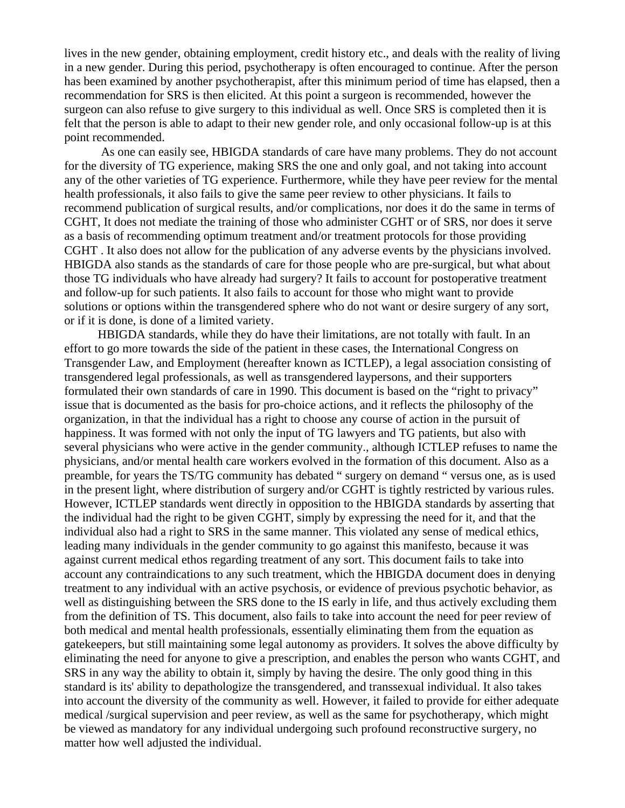lives in the new gender, obtaining employment, credit history etc., and deals with the reality of living in a new gender. During this period, psychotherapy is often encouraged to continue. After the person has been examined by another psychotherapist, after this minimum period of time has elapsed, then a recommendation for SRS is then elicited. At this point a surgeon is recommended, however the surgeon can also refuse to give surgery to this individual as well. Once SRS is completed then it is felt that the person is able to adapt to their new gender role, and only occasional follow-up is at this point recommended.

 As one can easily see, HBIGDA standards of care have many problems. They do not account for the diversity of TG experience, making SRS the one and only goal, and not taking into account any of the other varieties of TG experience. Furthermore, while they have peer review for the mental health professionals, it also fails to give the same peer review to other physicians. It fails to recommend publication of surgical results, and/or complications, nor does it do the same in terms of CGHT, It does not mediate the training of those who administer CGHT or of SRS, nor does it serve as a basis of recommending optimum treatment and/or treatment protocols for those providing CGHT . It also does not allow for the publication of any adverse events by the physicians involved. HBIGDA also stands as the standards of care for those people who are pre-surgical, but what about those TG individuals who have already had surgery? It fails to account for postoperative treatment and follow-up for such patients. It also fails to account for those who might want to provide solutions or options within the transgendered sphere who do not want or desire surgery of any sort, or if it is done, is done of a limited variety.

 HBIGDA standards, while they do have their limitations, are not totally with fault. In an effort to go more towards the side of the patient in these cases, the International Congress on Transgender Law, and Employment (hereafter known as ICTLEP), a legal association consisting of transgendered legal professionals, as well as transgendered laypersons, and their supporters formulated their own standards of care in 1990. This document is based on the "right to privacy" issue that is documented as the basis for pro-choice actions, and it reflects the philosophy of the organization, in that the individual has a right to choose any course of action in the pursuit of happiness. It was formed with not only the input of TG lawyers and TG patients, but also with several physicians who were active in the gender community., although ICTLEP refuses to name the physicians, and/or mental health care workers evolved in the formation of this document. Also as a preamble, for years the TS/TG community has debated " surgery on demand " versus one, as is used in the present light, where distribution of surgery and/or CGHT is tightly restricted by various rules. However, ICTLEP standards went directly in opposition to the HBIGDA standards by asserting that the individual had the right to be given CGHT, simply by expressing the need for it, and that the individual also had a right to SRS in the same manner. This violated any sense of medical ethics, leading many individuals in the gender community to go against this manifesto, because it was against current medical ethos regarding treatment of any sort. This document fails to take into account any contraindications to any such treatment, which the HBIGDA document does in denying treatment to any individual with an active psychosis, or evidence of previous psychotic behavior, as well as distinguishing between the SRS done to the IS early in life, and thus actively excluding them from the definition of TS. This document, also fails to take into account the need for peer review of both medical and mental health professionals, essentially eliminating them from the equation as gatekeepers, but still maintaining some legal autonomy as providers. It solves the above difficulty by eliminating the need for anyone to give a prescription, and enables the person who wants CGHT, and SRS in any way the ability to obtain it, simply by having the desire. The only good thing in this standard is its' ability to depathologize the transgendered, and transsexual individual. It also takes into account the diversity of the community as well. However, it failed to provide for either adequate medical /surgical supervision and peer review, as well as the same for psychotherapy, which might be viewed as mandatory for any individual undergoing such profound reconstructive surgery, no matter how well adjusted the individual.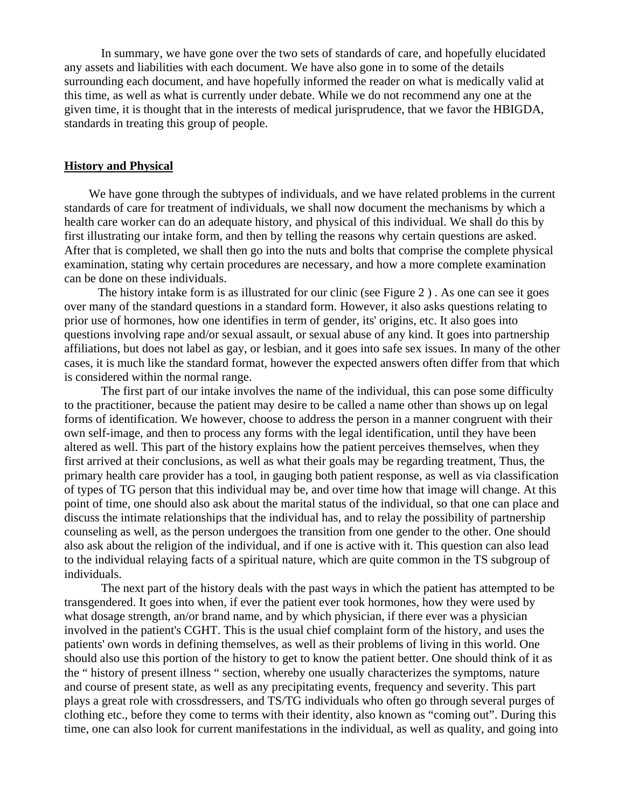In summary, we have gone over the two sets of standards of care, and hopefully elucidated any assets and liabilities with each document. We have also gone in to some of the details surrounding each document, and have hopefully informed the reader on what is medically valid at this time, as well as what is currently under debate. While we do not recommend any one at the given time, it is thought that in the interests of medical jurisprudence, that we favor the HBIGDA, standards in treating this group of people.

#### **History and Physical**

We have gone through the subtypes of individuals, and we have related problems in the current standards of care for treatment of individuals, we shall now document the mechanisms by which a health care worker can do an adequate history, and physical of this individual. We shall do this by first illustrating our intake form, and then by telling the reasons why certain questions are asked. After that is completed, we shall then go into the nuts and bolts that comprise the complete physical examination, stating why certain procedures are necessary, and how a more complete examination can be done on these individuals.

 The history intake form is as illustrated for our clinic (see Figure 2 ) . As one can see it goes over many of the standard questions in a standard form. However, it also asks questions relating to prior use of hormones, how one identifies in term of gender, its' origins, etc. It also goes into questions involving rape and/or sexual assault, or sexual abuse of any kind. It goes into partnership affiliations, but does not label as gay, or lesbian, and it goes into safe sex issues. In many of the other cases, it is much like the standard format, however the expected answers often differ from that which is considered within the normal range.

The first part of our intake involves the name of the individual, this can pose some difficulty to the practitioner, because the patient may desire to be called a name other than shows up on legal forms of identification. We however, choose to address the person in a manner congruent with their own self-image, and then to process any forms with the legal identification, until they have been altered as well. This part of the history explains how the patient perceives themselves, when they first arrived at their conclusions, as well as what their goals may be regarding treatment, Thus, the primary health care provider has a tool, in gauging both patient response, as well as via classification of types of TG person that this individual may be, and over time how that image will change. At this point of time, one should also ask about the marital status of the individual, so that one can place and discuss the intimate relationships that the individual has, and to relay the possibility of partnership counseling as well, as the person undergoes the transition from one gender to the other. One should also ask about the religion of the individual, and if one is active with it. This question can also lead to the individual relaying facts of a spiritual nature, which are quite common in the TS subgroup of individuals.

 The next part of the history deals with the past ways in which the patient has attempted to be transgendered. It goes into when, if ever the patient ever took hormones, how they were used by what dosage strength, an/or brand name, and by which physician, if there ever was a physician involved in the patient's CGHT. This is the usual chief complaint form of the history, and uses the patients' own words in defining themselves, as well as their problems of living in this world. One should also use this portion of the history to get to know the patient better. One should think of it as the " history of present illness " section, whereby one usually characterizes the symptoms, nature and course of present state, as well as any precipitating events, frequency and severity. This part plays a great role with crossdressers, and TS/TG individuals who often go through several purges of clothing etc., before they come to terms with their identity, also known as "coming out". During this time, one can also look for current manifestations in the individual, as well as quality, and going into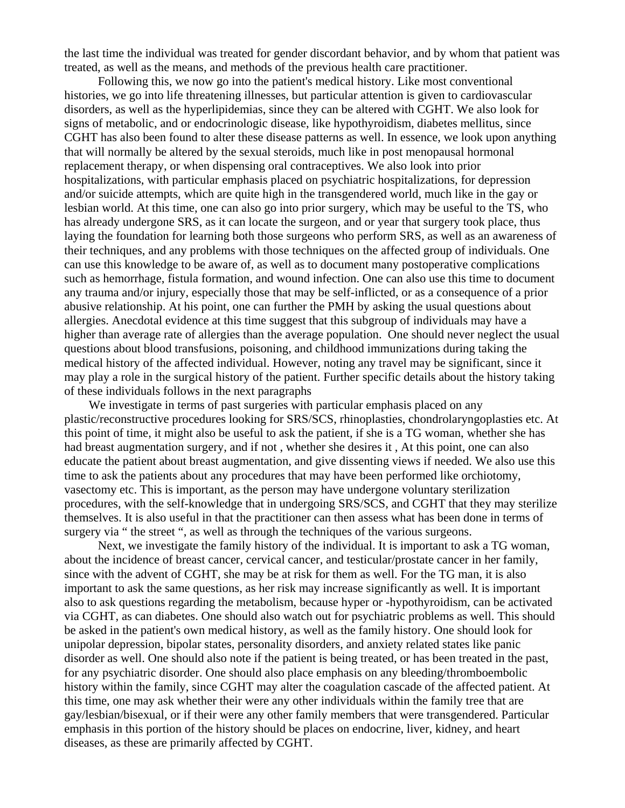the last time the individual was treated for gender discordant behavior, and by whom that patient was treated, as well as the means, and methods of the previous health care practitioner.

 Following this, we now go into the patient's medical history. Like most conventional histories, we go into life threatening illnesses, but particular attention is given to cardiovascular disorders, as well as the hyperlipidemias, since they can be altered with CGHT. We also look for signs of metabolic, and or endocrinologic disease, like hypothyroidism, diabetes mellitus, since CGHT has also been found to alter these disease patterns as well. In essence, we look upon anything that will normally be altered by the sexual steroids, much like in post menopausal hormonal replacement therapy, or when dispensing oral contraceptives. We also look into prior hospitalizations, with particular emphasis placed on psychiatric hospitalizations, for depression and/or suicide attempts, which are quite high in the transgendered world, much like in the gay or lesbian world. At this time, one can also go into prior surgery, which may be useful to the TS, who has already undergone SRS, as it can locate the surgeon, and or year that surgery took place, thus laying the foundation for learning both those surgeons who perform SRS, as well as an awareness of their techniques, and any problems with those techniques on the affected group of individuals. One can use this knowledge to be aware of, as well as to document many postoperative complications such as hemorrhage, fistula formation, and wound infection. One can also use this time to document any trauma and/or injury, especially those that may be self-inflicted, or as a consequence of a prior abusive relationship. At his point, one can further the PMH by asking the usual questions about allergies. Anecdotal evidence at this time suggest that this subgroup of individuals may have a higher than average rate of allergies than the average population. One should never neglect the usual questions about blood transfusions, poisoning, and childhood immunizations during taking the medical history of the affected individual. However, noting any travel may be significant, since it may play a role in the surgical history of the patient. Further specific details about the history taking of these individuals follows in the next paragraphs

We investigate in terms of past surgeries with particular emphasis placed on any plastic/reconstructive procedures looking for SRS/SCS, rhinoplasties, chondrolaryngoplasties etc. At this point of time, it might also be useful to ask the patient, if she is a TG woman, whether she has had breast augmentation surgery, and if not , whether she desires it , At this point, one can also educate the patient about breast augmentation, and give dissenting views if needed. We also use this time to ask the patients about any procedures that may have been performed like orchiotomy, vasectomy etc. This is important, as the person may have undergone voluntary sterilization procedures, with the self-knowledge that in undergoing SRS/SCS, and CGHT that they may sterilize themselves. It is also useful in that the practitioner can then assess what has been done in terms of surgery via " the street ", as well as through the techniques of the various surgeons.

 Next, we investigate the family history of the individual. It is important to ask a TG woman, about the incidence of breast cancer, cervical cancer, and testicular/prostate cancer in her family, since with the advent of CGHT, she may be at risk for them as well. For the TG man, it is also important to ask the same questions, as her risk may increase significantly as well. It is important also to ask questions regarding the metabolism, because hyper or -hypothyroidism, can be activated via CGHT, as can diabetes. One should also watch out for psychiatric problems as well. This should be asked in the patient's own medical history, as well as the family history. One should look for unipolar depression, bipolar states, personality disorders, and anxiety related states like panic disorder as well. One should also note if the patient is being treated, or has been treated in the past, for any psychiatric disorder. One should also place emphasis on any bleeding/thromboembolic history within the family, since CGHT may alter the coagulation cascade of the affected patient. At this time, one may ask whether their were any other individuals within the family tree that are gay/lesbian/bisexual, or if their were any other family members that were transgendered. Particular emphasis in this portion of the history should be places on endocrine, liver, kidney, and heart diseases, as these are primarily affected by CGHT.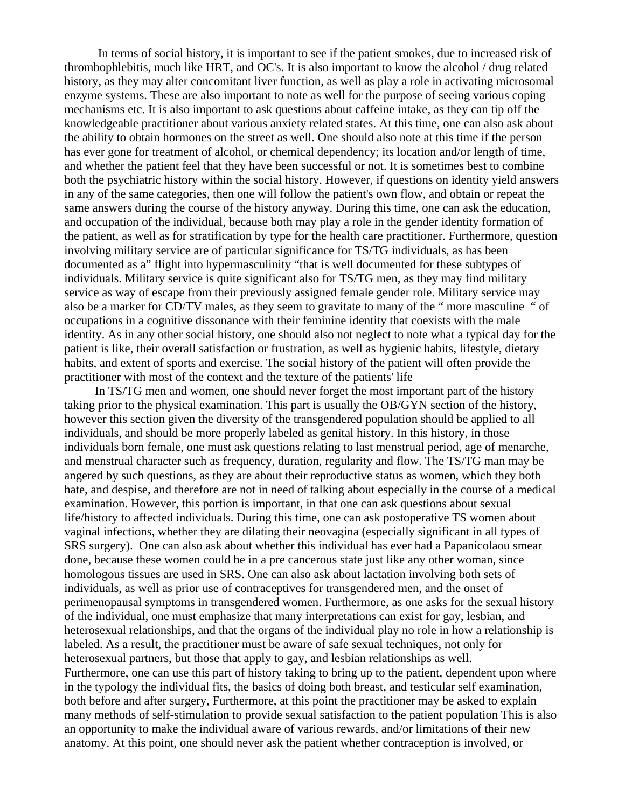In terms of social history, it is important to see if the patient smokes, due to increased risk of thrombophlebitis, much like HRT, and OC's. It is also important to know the alcohol / drug related history, as they may alter concomitant liver function, as well as play a role in activating microsomal enzyme systems. These are also important to note as well for the purpose of seeing various coping mechanisms etc. It is also important to ask questions about caffeine intake, as they can tip off the knowledgeable practitioner about various anxiety related states. At this time, one can also ask about the ability to obtain hormones on the street as well. One should also note at this time if the person has ever gone for treatment of alcohol, or chemical dependency; its location and/or length of time, and whether the patient feel that they have been successful or not. It is sometimes best to combine both the psychiatric history within the social history. However, if questions on identity yield answers in any of the same categories, then one will follow the patient's own flow, and obtain or repeat the same answers during the course of the history anyway. During this time, one can ask the education, and occupation of the individual, because both may play a role in the gender identity formation of the patient, as well as for stratification by type for the health care practitioner. Furthermore, question involving military service are of particular significance for TS/TG individuals, as has been documented as a" flight into hypermasculinity "that is well documented for these subtypes of individuals. Military service is quite significant also for TS/TG men, as they may find military service as way of escape from their previously assigned female gender role. Military service may also be a marker for CD/TV males, as they seem to gravitate to many of the " more masculine " of occupations in a cognitive dissonance with their feminine identity that coexists with the male identity. As in any other social history, one should also not neglect to note what a typical day for the patient is like, their overall satisfaction or frustration, as well as hygienic habits, lifestyle, dietary habits, and extent of sports and exercise. The social history of the patient will often provide the practitioner with most of the context and the texture of the patients' life

 In TS/TG men and women, one should never forget the most important part of the history taking prior to the physical examination. This part is usually the OB/GYN section of the history, however this section given the diversity of the transgendered population should be applied to all individuals, and should be more properly labeled as genital history. In this history, in those individuals born female, one must ask questions relating to last menstrual period, age of menarche, and menstrual character such as frequency, duration, regularity and flow. The TS/TG man may be angered by such questions, as they are about their reproductive status as women, which they both hate, and despise, and therefore are not in need of talking about especially in the course of a medical examination. However, this portion is important, in that one can ask questions about sexual life/history to affected individuals. During this time, one can ask postoperative TS women about vaginal infections, whether they are dilating their neovagina (especially significant in all types of SRS surgery). One can also ask about whether this individual has ever had a Papanicolaou smear done, because these women could be in a pre cancerous state just like any other woman, since homologous tissues are used in SRS. One can also ask about lactation involving both sets of individuals, as well as prior use of contraceptives for transgendered men, and the onset of perimenopausal symptoms in transgendered women. Furthermore, as one asks for the sexual history of the individual, one must emphasize that many interpretations can exist for gay, lesbian, and heterosexual relationships, and that the organs of the individual play no role in how a relationship is labeled. As a result, the practitioner must be aware of safe sexual techniques, not only for heterosexual partners, but those that apply to gay, and lesbian relationships as well. Furthermore, one can use this part of history taking to bring up to the patient, dependent upon where in the typology the individual fits, the basics of doing both breast, and testicular self examination, both before and after surgery, Furthermore, at this point the practitioner may be asked to explain many methods of self-stimulation to provide sexual satisfaction to the patient population This is also an opportunity to make the individual aware of various rewards, and/or limitations of their new anatomy. At this point, one should never ask the patient whether contraception is involved, or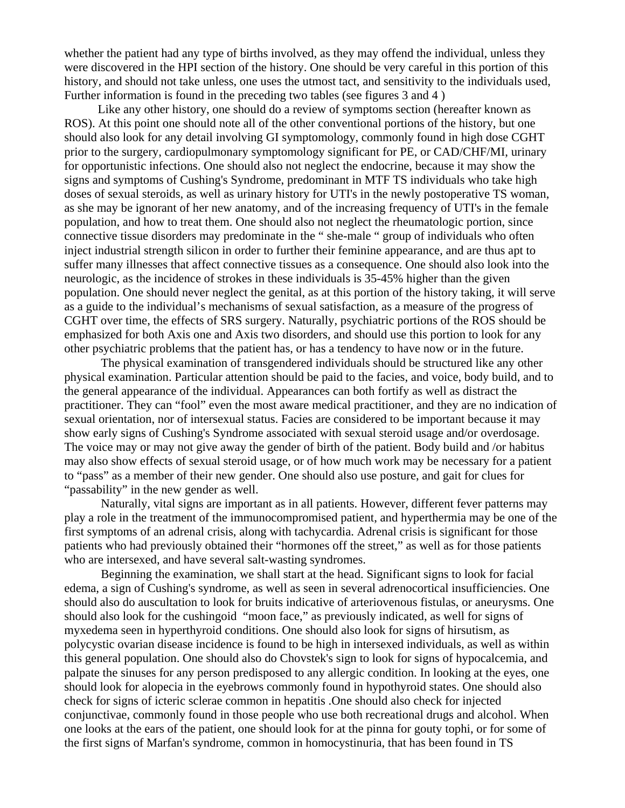whether the patient had any type of births involved, as they may offend the individual, unless they were discovered in the HPI section of the history. One should be very careful in this portion of this history, and should not take unless, one uses the utmost tact, and sensitivity to the individuals used, Further information is found in the preceding two tables (see figures 3 and 4 )

 Like any other history, one should do a review of symptoms section (hereafter known as ROS). At this point one should note all of the other conventional portions of the history, but one should also look for any detail involving GI symptomology, commonly found in high dose CGHT prior to the surgery, cardiopulmonary symptomology significant for PE, or CAD/CHF/MI, urinary for opportunistic infections. One should also not neglect the endocrine, because it may show the signs and symptoms of Cushing's Syndrome, predominant in MTF TS individuals who take high doses of sexual steroids, as well as urinary history for UTI's in the newly postoperative TS woman, as she may be ignorant of her new anatomy, and of the increasing frequency of UTI's in the female population, and how to treat them. One should also not neglect the rheumatologic portion, since connective tissue disorders may predominate in the " she-male " group of individuals who often inject industrial strength silicon in order to further their feminine appearance, and are thus apt to suffer many illnesses that affect connective tissues as a consequence. One should also look into the neurologic, as the incidence of strokes in these individuals is 35-45% higher than the given population. One should never neglect the genital, as at this portion of the history taking, it will serve as a guide to the individual's mechanisms of sexual satisfaction, as a measure of the progress of CGHT over time, the effects of SRS surgery. Naturally, psychiatric portions of the ROS should be emphasized for both Axis one and Axis two disorders, and should use this portion to look for any other psychiatric problems that the patient has, or has a tendency to have now or in the future.

The physical examination of transgendered individuals should be structured like any other physical examination. Particular attention should be paid to the facies, and voice, body build, and to the general appearance of the individual. Appearances can both fortify as well as distract the practitioner. They can "fool" even the most aware medical practitioner, and they are no indication of sexual orientation, nor of intersexual status. Facies are considered to be important because it may show early signs of Cushing's Syndrome associated with sexual steroid usage and/or overdosage. The voice may or may not give away the gender of birth of the patient. Body build and /or habitus may also show effects of sexual steroid usage, or of how much work may be necessary for a patient to "pass" as a member of their new gender. One should also use posture, and gait for clues for "passability" in the new gender as well.

Naturally, vital signs are important as in all patients. However, different fever patterns may play a role in the treatment of the immunocompromised patient, and hyperthermia may be one of the first symptoms of an adrenal crisis, along with tachycardia. Adrenal crisis is significant for those patients who had previously obtained their "hormones off the street," as well as for those patients who are intersexed, and have several salt-wasting syndromes.

Beginning the examination, we shall start at the head. Significant signs to look for facial edema, a sign of Cushing's syndrome, as well as seen in several adrenocortical insufficiencies. One should also do auscultation to look for bruits indicative of arteriovenous fistulas, or aneurysms. One should also look for the cushingoid "moon face," as previously indicated, as well for signs of myxedema seen in hyperthyroid conditions. One should also look for signs of hirsutism, as polycystic ovarian disease incidence is found to be high in intersexed individuals, as well as within this general population. One should also do Chovstek's sign to look for signs of hypocalcemia, and palpate the sinuses for any person predisposed to any allergic condition. In looking at the eyes, one should look for alopecia in the eyebrows commonly found in hypothyroid states. One should also check for signs of icteric sclerae common in hepatitis .One should also check for injected conjunctivae, commonly found in those people who use both recreational drugs and alcohol. When one looks at the ears of the patient, one should look for at the pinna for gouty tophi, or for some of the first signs of Marfan's syndrome, common in homocystinuria, that has been found in TS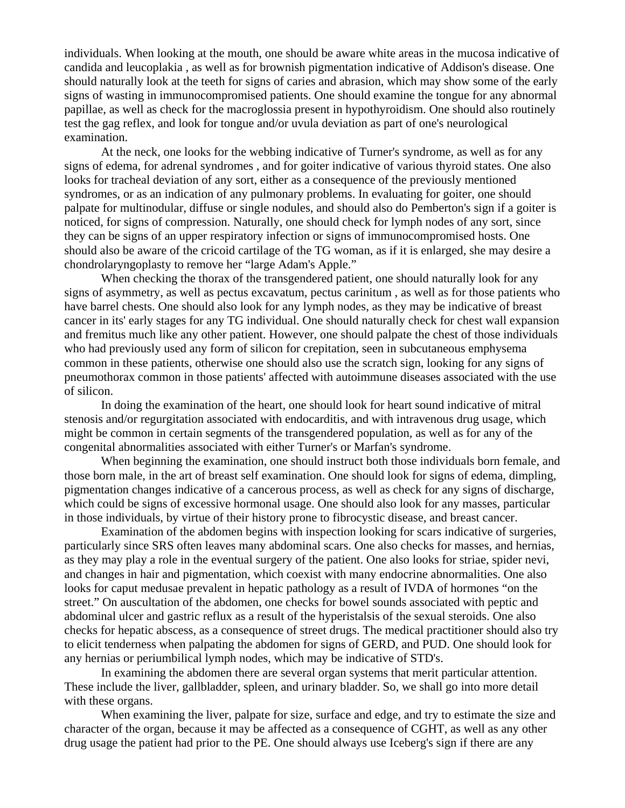individuals. When looking at the mouth, one should be aware white areas in the mucosa indicative of candida and leucoplakia , as well as for brownish pigmentation indicative of Addison's disease. One should naturally look at the teeth for signs of caries and abrasion, which may show some of the early signs of wasting in immunocompromised patients. One should examine the tongue for any abnormal papillae, as well as check for the macroglossia present in hypothyroidism. One should also routinely test the gag reflex, and look for tongue and/or uvula deviation as part of one's neurological examination.

At the neck, one looks for the webbing indicative of Turner's syndrome, as well as for any signs of edema, for adrenal syndromes , and for goiter indicative of various thyroid states. One also looks for tracheal deviation of any sort, either as a consequence of the previously mentioned syndromes, or as an indication of any pulmonary problems. In evaluating for goiter, one should palpate for multinodular, diffuse or single nodules, and should also do Pemberton's sign if a goiter is noticed, for signs of compression. Naturally, one should check for lymph nodes of any sort, since they can be signs of an upper respiratory infection or signs of immunocompromised hosts. One should also be aware of the cricoid cartilage of the TG woman, as if it is enlarged, she may desire a chondrolaryngoplasty to remove her "large Adam's Apple."

When checking the thorax of the transgendered patient, one should naturally look for any signs of asymmetry, as well as pectus excavatum, pectus carinitum , as well as for those patients who have barrel chests. One should also look for any lymph nodes, as they may be indicative of breast cancer in its' early stages for any TG individual. One should naturally check for chest wall expansion and fremitus much like any other patient. However, one should palpate the chest of those individuals who had previously used any form of silicon for crepitation, seen in subcutaneous emphysema common in these patients, otherwise one should also use the scratch sign, looking for any signs of pneumothorax common in those patients' affected with autoimmune diseases associated with the use of silicon.

In doing the examination of the heart, one should look for heart sound indicative of mitral stenosis and/or regurgitation associated with endocarditis, and with intravenous drug usage, which might be common in certain segments of the transgendered population, as well as for any of the congenital abnormalities associated with either Turner's or Marfan's syndrome.

When beginning the examination, one should instruct both those individuals born female, and those born male, in the art of breast self examination. One should look for signs of edema, dimpling, pigmentation changes indicative of a cancerous process, as well as check for any signs of discharge, which could be signs of excessive hormonal usage. One should also look for any masses, particular in those individuals, by virtue of their history prone to fibrocystic disease, and breast cancer.

Examination of the abdomen begins with inspection looking for scars indicative of surgeries, particularly since SRS often leaves many abdominal scars. One also checks for masses, and hernias, as they may play a role in the eventual surgery of the patient. One also looks for striae, spider nevi, and changes in hair and pigmentation, which coexist with many endocrine abnormalities. One also looks for caput medusae prevalent in hepatic pathology as a result of IVDA of hormones "on the street." On auscultation of the abdomen, one checks for bowel sounds associated with peptic and abdominal ulcer and gastric reflux as a result of the hyperistalsis of the sexual steroids. One also checks for hepatic abscess, as a consequence of street drugs. The medical practitioner should also try to elicit tenderness when palpating the abdomen for signs of GERD, and PUD. One should look for any hernias or periumbilical lymph nodes, which may be indicative of STD's.

In examining the abdomen there are several organ systems that merit particular attention. These include the liver, gallbladder, spleen, and urinary bladder. So, we shall go into more detail with these organs.

When examining the liver, palpate for size, surface and edge, and try to estimate the size and character of the organ, because it may be affected as a consequence of CGHT, as well as any other drug usage the patient had prior to the PE. One should always use Iceberg's sign if there are any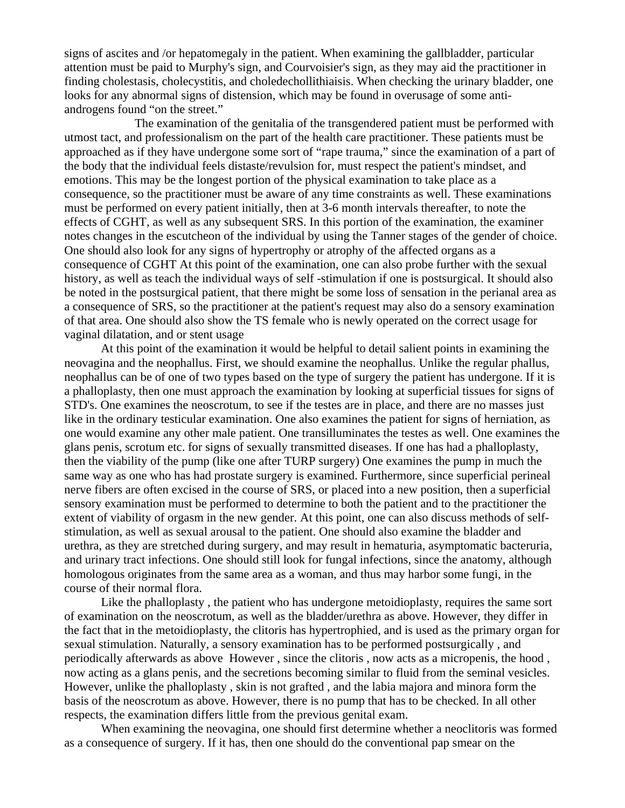signs of ascites and /or hepatomegaly in the patient. When examining the gallbladder, particular attention must be paid to Murphy's sign, and Courvoisier's sign, as they may aid the practitioner in finding cholestasis, cholecystitis, and choledechollithiaisis. When checking the urinary bladder, one looks for any abnormal signs of distension, which may be found in overusage of some antiandrogens found "on the street."

 The examination of the genitalia of the transgendered patient must be performed with utmost tact, and professionalism on the part of the health care practitioner. These patients must be approached as if they have undergone some sort of "rape trauma," since the examination of a part of the body that the individual feels distaste/revulsion for, must respect the patient's mindset, and emotions. This may be the longest portion of the physical examination to take place as a consequence, so the practitioner must be aware of any time constraints as well. These examinations must be performed on every patient initially, then at 3-6 month intervals thereafter, to note the effects of CGHT, as well as any subsequent SRS. In this portion of the examination, the examiner notes changes in the escutcheon of the individual by using the Tanner stages of the gender of choice. One should also look for any signs of hypertrophy or atrophy of the affected organs as a consequence of CGHT At this point of the examination, one can also probe further with the sexual history, as well as teach the individual ways of self -stimulation if one is postsurgical. It should also be noted in the postsurgical patient, that there might be some loss of sensation in the perianal area as a consequence of SRS, so the practitioner at the patient's request may also do a sensory examination of that area. One should also show the TS female who is newly operated on the correct usage for vaginal dilatation, and or stent usage

At this point of the examination it would be helpful to detail salient points in examining the neovagina and the neophallus. First, we should examine the neophallus. Unlike the regular phallus, neophallus can be of one of two types based on the type of surgery the patient has undergone. If it is a phalloplasty, then one must approach the examination by looking at superficial tissues for signs of STD's. One examines the neoscrotum, to see if the testes are in place, and there are no masses just like in the ordinary testicular examination. One also examines the patient for signs of herniation, as one would examine any other male patient. One transilluminates the testes as well. One examines the glans penis, scrotum etc. for signs of sexually transmitted diseases. If one has had a phalloplasty, then the viability of the pump (like one after TURP surgery) One examines the pump in much the same way as one who has had prostate surgery is examined. Furthermore, since superficial perineal nerve fibers are often excised in the course of SRS, or placed into a new position, then a superficial sensory examination must be performed to determine to both the patient and to the practitioner the extent of viability of orgasm in the new gender. At this point, one can also discuss methods of selfstimulation, as well as sexual arousal to the patient. One should also examine the bladder and urethra, as they are stretched during surgery, and may result in hematuria, asymptomatic bacteruria, and urinary tract infections. One should still look for fungal infections, since the anatomy, although homologous originates from the same area as a woman, and thus may harbor some fungi, in the course of their normal flora.

Like the phalloplasty , the patient who has undergone metoidioplasty, requires the same sort of examination on the neoscrotum, as well as the bladder/urethra as above. However, they differ in the fact that in the metoidioplasty, the clitoris has hypertrophied, and is used as the primary organ for sexual stimulation. Naturally, a sensory examination has to be performed postsurgically , and periodically afterwards as above However , since the clitoris , now acts as a micropenis, the hood , now acting as a glans penis, and the secretions becoming similar to fluid from the seminal vesicles. However, unlike the phalloplasty , skin is not grafted , and the labia majora and minora form the basis of the neoscrotum as above. However, there is no pump that has to be checked. In all other respects, the examination differs little from the previous genital exam.

When examining the neovagina, one should first determine whether a neoclitoris was formed as a consequence of surgery. If it has, then one should do the conventional pap smear on the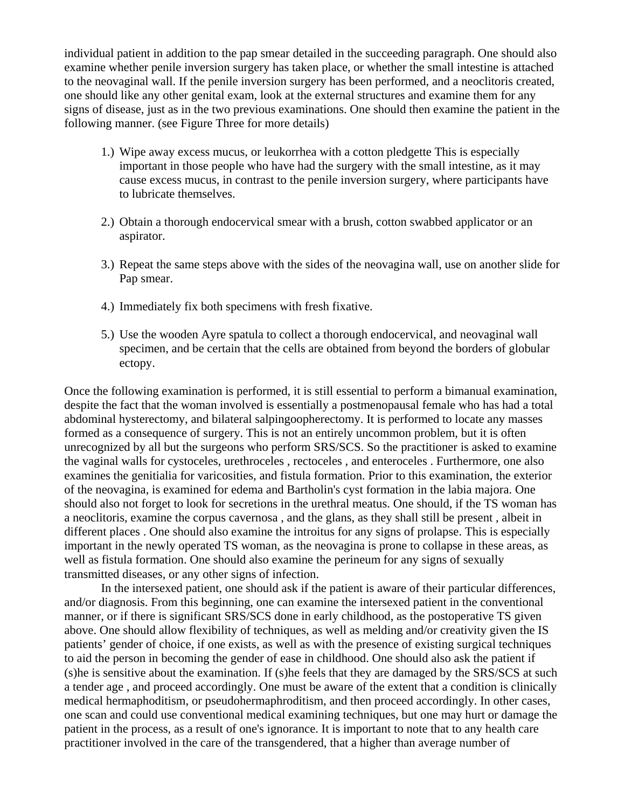individual patient in addition to the pap smear detailed in the succeeding paragraph. One should also examine whether penile inversion surgery has taken place, or whether the small intestine is attached to the neovaginal wall. If the penile inversion surgery has been performed, and a neoclitoris created, one should like any other genital exam, look at the external structures and examine them for any signs of disease, just as in the two previous examinations. One should then examine the patient in the following manner. (see Figure Three for more details)

- 1.) Wipe away excess mucus, or leukorrhea with a cotton pledgette This is especially important in those people who have had the surgery with the small intestine, as it may cause excess mucus, in contrast to the penile inversion surgery, where participants have to lubricate themselves.
- 2.) Obtain a thorough endocervical smear with a brush, cotton swabbed applicator or an aspirator.
- 3.) Repeat the same steps above with the sides of the neovagina wall, use on another slide for Pap smear.
- 4.) Immediately fix both specimens with fresh fixative.
- 5.) Use the wooden Ayre spatula to collect a thorough endocervical, and neovaginal wall specimen, and be certain that the cells are obtained from beyond the borders of globular ectopy.

Once the following examination is performed, it is still essential to perform a bimanual examination, despite the fact that the woman involved is essentially a postmenopausal female who has had a total abdominal hysterectomy, and bilateral salpingoopherectomy. It is performed to locate any masses formed as a consequence of surgery. This is not an entirely uncommon problem, but it is often unrecognized by all but the surgeons who perform SRS/SCS. So the practitioner is asked to examine the vaginal walls for cystoceles, urethroceles , rectoceles , and enteroceles . Furthermore, one also examines the genitialia for varicosities, and fistula formation. Prior to this examination, the exterior of the neovagina, is examined for edema and Bartholin's cyst formation in the labia majora. One should also not forget to look for secretions in the urethral meatus. One should, if the TS woman has a neoclitoris, examine the corpus cavernosa , and the glans, as they shall still be present , albeit in different places . One should also examine the introitus for any signs of prolapse. This is especially important in the newly operated TS woman, as the neovagina is prone to collapse in these areas, as well as fistula formation. One should also examine the perineum for any signs of sexually transmitted diseases, or any other signs of infection.

In the intersexed patient, one should ask if the patient is aware of their particular differences, and/or diagnosis. From this beginning, one can examine the intersexed patient in the conventional manner, or if there is significant SRS/SCS done in early childhood, as the postoperative TS given above. One should allow flexibility of techniques, as well as melding and/or creativity given the IS patients' gender of choice, if one exists, as well as with the presence of existing surgical techniques to aid the person in becoming the gender of ease in childhood. One should also ask the patient if (s)he is sensitive about the examination. If (s)he feels that they are damaged by the SRS/SCS at such a tender age , and proceed accordingly. One must be aware of the extent that a condition is clinically medical hermaphoditism, or pseudohermaphroditism, and then proceed accordingly. In other cases, one scan and could use conventional medical examining techniques, but one may hurt or damage the patient in the process, as a result of one's ignorance. It is important to note that to any health care practitioner involved in the care of the transgendered, that a higher than average number of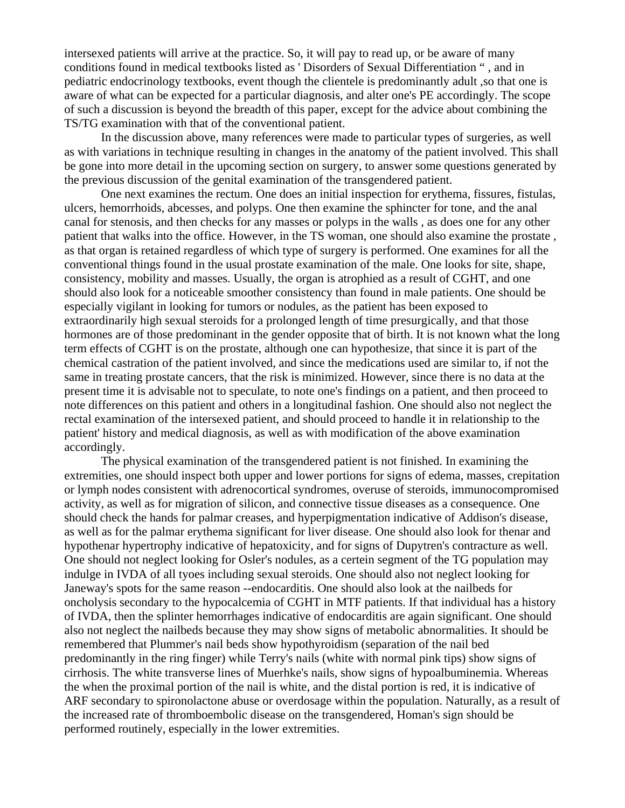intersexed patients will arrive at the practice. So, it will pay to read up, or be aware of many conditions found in medical textbooks listed as ' Disorders of Sexual Differentiation " , and in pediatric endocrinology textbooks, event though the clientele is predominantly adult ,so that one is aware of what can be expected for a particular diagnosis, and alter one's PE accordingly. The scope of such a discussion is beyond the breadth of this paper, except for the advice about combining the TS/TG examination with that of the conventional patient.

In the discussion above, many references were made to particular types of surgeries, as well as with variations in technique resulting in changes in the anatomy of the patient involved. This shall be gone into more detail in the upcoming section on surgery, to answer some questions generated by the previous discussion of the genital examination of the transgendered patient.

One next examines the rectum. One does an initial inspection for erythema, fissures, fistulas, ulcers, hemorrhoids, abcesses, and polyps. One then examine the sphincter for tone, and the anal canal for stenosis, and then checks for any masses or polyps in the walls , as does one for any other patient that walks into the office. However, in the TS woman, one should also examine the prostate , as that organ is retained regardless of which type of surgery is performed. One examines for all the conventional things found in the usual prostate examination of the male. One looks for site, shape, consistency, mobility and masses. Usually, the organ is atrophied as a result of CGHT, and one should also look for a noticeable smoother consistency than found in male patients. One should be especially vigilant in looking for tumors or nodules, as the patient has been exposed to extraordinarily high sexual steroids for a prolonged length of time presurgically, and that those hormones are of those predominant in the gender opposite that of birth. It is not known what the long term effects of CGHT is on the prostate, although one can hypothesize, that since it is part of the chemical castration of the patient involved, and since the medications used are similar to, if not the same in treating prostate cancers, that the risk is minimized. However, since there is no data at the present time it is advisable not to speculate, to note one's findings on a patient, and then proceed to note differences on this patient and others in a longitudinal fashion. One should also not neglect the rectal examination of the intersexed patient, and should proceed to handle it in relationship to the patient' history and medical diagnosis, as well as with modification of the above examination accordingly.

The physical examination of the transgendered patient is not finished. In examining the extremities, one should inspect both upper and lower portions for signs of edema, masses, crepitation or lymph nodes consistent with adrenocortical syndromes, overuse of steroids, immunocompromised activity, as well as for migration of silicon, and connective tissue diseases as a consequence. One should check the hands for palmar creases, and hyperpigmentation indicative of Addison's disease, as well as for the palmar erythema significant for liver disease. One should also look for thenar and hypothenar hypertrophy indicative of hepatoxicity, and for signs of Dupytren's contracture as well. One should not neglect looking for Osler's nodules, as a certein segment of the TG population may indulge in IVDA of all tyoes including sexual steroids. One should also not neglect looking for Janeway's spots for the same reason --endocarditis. One should also look at the nailbeds for oncholysis secondary to the hypocalcemia of CGHT in MTF patients. If that individual has a history of IVDA, then the splinter hemorrhages indicative of endocarditis are again significant. One should also not neglect the nailbeds because they may show signs of metabolic abnormalities. It should be remembered that Plummer's nail beds show hypothyroidism (separation of the nail bed predominantly in the ring finger) while Terry's nails (white with normal pink tips) show signs of cirrhosis. The white transverse lines of Muerhke's nails, show signs of hypoalbuminemia. Whereas the when the proximal portion of the nail is white, and the distal portion is red, it is indicative of ARF secondary to spironolactone abuse or overdosage within the population. Naturally, as a result of the increased rate of thromboembolic disease on the transgendered, Homan's sign should be performed routinely, especially in the lower extremities.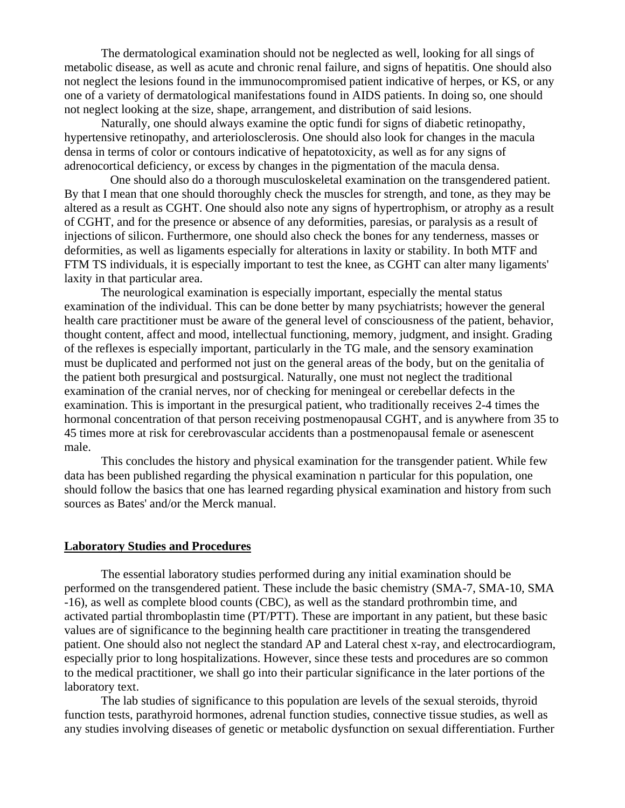The dermatological examination should not be neglected as well, looking for all sings of metabolic disease, as well as acute and chronic renal failure, and signs of hepatitis. One should also not neglect the lesions found in the immunocompromised patient indicative of herpes, or KS, or any one of a variety of dermatological manifestations found in AIDS patients. In doing so, one should not neglect looking at the size, shape, arrangement, and distribution of said lesions.

Naturally, one should always examine the optic fundi for signs of diabetic retinopathy, hypertensive retinopathy, and arteriolosclerosis. One should also look for changes in the macula densa in terms of color or contours indicative of hepatotoxicity, as well as for any signs of adrenocortical deficiency, or excess by changes in the pigmentation of the macula densa.

 One should also do a thorough musculoskeletal examination on the transgendered patient. By that I mean that one should thoroughly check the muscles for strength, and tone, as they may be altered as a result as CGHT. One should also note any signs of hypertrophism, or atrophy as a result of CGHT, and for the presence or absence of any deformities, paresias, or paralysis as a result of injections of silicon. Furthermore, one should also check the bones for any tenderness, masses or deformities, as well as ligaments especially for alterations in laxity or stability. In both MTF and FTM TS individuals, it is especially important to test the knee, as CGHT can alter many ligaments' laxity in that particular area.

The neurological examination is especially important, especially the mental status examination of the individual. This can be done better by many psychiatrists; however the general health care practitioner must be aware of the general level of consciousness of the patient, behavior, thought content, affect and mood, intellectual functioning, memory, judgment, and insight. Grading of the reflexes is especially important, particularly in the TG male, and the sensory examination must be duplicated and performed not just on the general areas of the body, but on the genitalia of the patient both presurgical and postsurgical. Naturally, one must not neglect the traditional examination of the cranial nerves, nor of checking for meningeal or cerebellar defects in the examination. This is important in the presurgical patient, who traditionally receives 2-4 times the hormonal concentration of that person receiving postmenopausal CGHT, and is anywhere from 35 to 45 times more at risk for cerebrovascular accidents than a postmenopausal female or asenescent male.

This concludes the history and physical examination for the transgender patient. While few data has been published regarding the physical examination n particular for this population, one should follow the basics that one has learned regarding physical examination and history from such sources as Bates' and/or the Merck manual.

#### **Laboratory Studies and Procedures**

The essential laboratory studies performed during any initial examination should be performed on the transgendered patient. These include the basic chemistry (SMA-7, SMA-10, SMA -16), as well as complete blood counts (CBC), as well as the standard prothrombin time, and activated partial thromboplastin time (PT/PTT). These are important in any patient, but these basic values are of significance to the beginning health care practitioner in treating the transgendered patient. One should also not neglect the standard AP and Lateral chest x-ray, and electrocardiogram, especially prior to long hospitalizations. However, since these tests and procedures are so common to the medical practitioner, we shall go into their particular significance in the later portions of the laboratory text.

The lab studies of significance to this population are levels of the sexual steroids, thyroid function tests, parathyroid hormones, adrenal function studies, connective tissue studies, as well as any studies involving diseases of genetic or metabolic dysfunction on sexual differentiation. Further